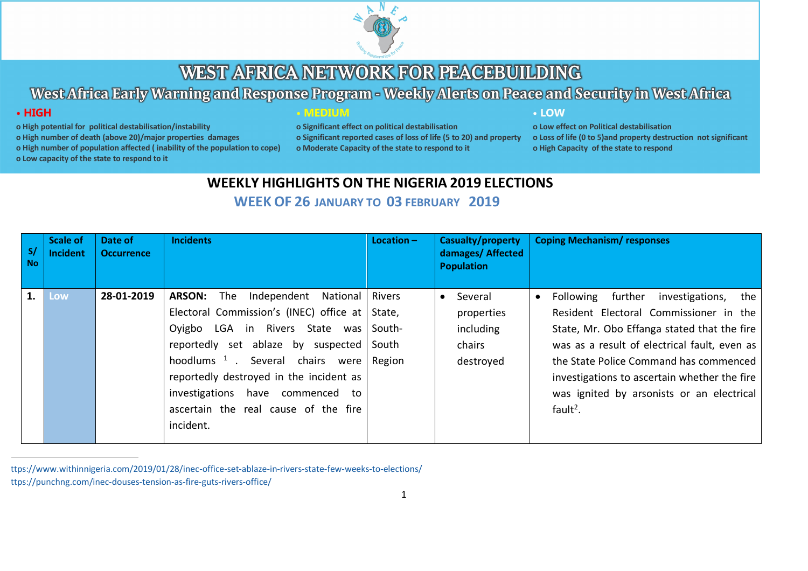

# West Africa Early Warning and Response Program - Weekly Alerts on Peace and Security in West Africa

## · HIGH

- o High potential for political destabilisation/instability
- o High number of death (above 20)/major properties damages
- o High number of population affected (inability of the population to cope)
- MEDIUM

o Significant effect on political destabilisation o Significant reported cases of loss of life (5 to 20) and property o Moderate Capacity of the state to respond to it

### • LOW

o Low effect on Political destabilisation o Loss of life (0 to 5) and property destruction not significant o High Capacity of the state to respond

o Low capacity of the state to respond to it

## **WEEKLY HIGHLIGHTS ON THE NIGERIA 2019 ELECTIONS**

## **WEEK OF 26 JANUARY TO 03 FEBRUARY 2019**

| S/<br><b>No</b> | <b>Scale of</b><br>Incident | Date of<br><b>Occurrence</b> | <b>Incidents</b>                                                                                                                                                                                                                                                                                                                                                     | Location $-$                               | Casualty/property<br>damages/ Affected<br><b>Population</b> | <b>Coping Mechanism/ responses</b>                                                                                                                                                                                                                                                                                                                     |
|-----------------|-----------------------------|------------------------------|----------------------------------------------------------------------------------------------------------------------------------------------------------------------------------------------------------------------------------------------------------------------------------------------------------------------------------------------------------------------|--------------------------------------------|-------------------------------------------------------------|--------------------------------------------------------------------------------------------------------------------------------------------------------------------------------------------------------------------------------------------------------------------------------------------------------------------------------------------------------|
|                 | Low                         | 28-01-2019                   | <b>ARSON:</b><br>Independent<br>The<br>National<br>Electoral Commission's (INEC) office at State,<br>Oyigbo LGA in Rivers<br>State<br>was  <br>reportedly set ablaze by suspected<br>hoodlums <sup>1</sup> . Several chairs were<br>reportedly destroyed in the incident as<br>investigations have commenced to<br>ascertain the real cause of the fire<br>incident. | <b>Rivers</b><br>South-<br>South<br>Region | Several<br>properties<br>including<br>chairs<br>destroyed   | further<br>Following<br>investigations,<br>the<br>Resident Electoral Commissioner in the<br>State, Mr. Obo Effanga stated that the fire<br>was as a result of electrical fault, even as<br>the State Police Command has commenced<br>investigations to ascertain whether the fire<br>was ignited by arsonists or an electrical<br>fault <sup>2</sup> . |

 <sup>1</sup> https://www.withinnigeria.com/2019/01/28/inec-office-set-ablaze-in-rivers-state-few-weeks-to-elections/ <sup>2</sup> https://punchng.com/inec-douses-tension-as-fire-guts-rivers-office/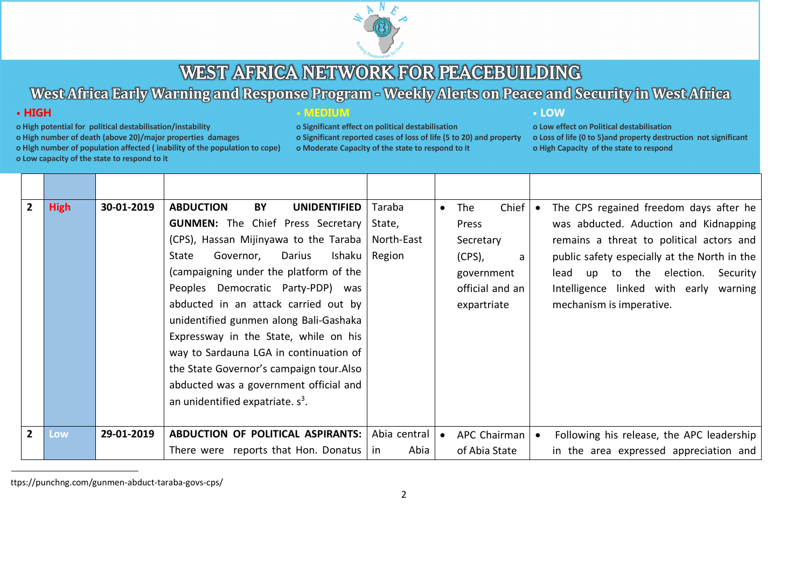

# West Africa Early Warning and Response Program - Weekly Alerts on Peace and Security in West Africa

## $\cdot$  HIGH

- o High potential for political destabilisation/instability
- o High number of death (above 20)/major properties damages

o High number of population affected (inability of the population to cope)

o Low capacity of the state to respond to it

| MEDIUN |  |  |  |  |
|--------|--|--|--|--|
|        |  |  |  |  |
|        |  |  |  |  |
|        |  |  |  |  |
|        |  |  |  |  |

o Significant effect on political destabilisation o Significant reported cases of loss of life (5 to 20) and property o Moderate Capacity of the state to respond to it

### • LOW

|   | <b>High</b> | 30-01-2019 | <b>ABDUCTION</b><br>BY<br><b>UNIDENTIFIED</b><br><b>GUNMEN:</b> The Chief Press Secretary<br>(CPS), Hassan Mijinyawa to the Taraba<br>Ishaku<br>Darius<br>State<br>Governor,<br>(campaigning under the platform of the<br>Peoples Democratic Party-PDP) was<br>abducted in an attack carried out by<br>unidentified gunmen along Bali-Gashaka<br>Expressway in the State, while on his | Taraba<br>State,<br>North-East<br>Region | The<br>Press<br>Secretary<br>$(CPS)$ , | Chief<br>a<br>government<br>official and an<br>expartriate |           | The CPS regained freedom days after he<br>was abducted. Aduction and Kidnapping<br>remains a threat to political actors and<br>public safety especially at the North in the<br>up to the election.<br>lead<br>Security<br>Intelligence linked with early warning<br>mechanism is imperative. |
|---|-------------|------------|----------------------------------------------------------------------------------------------------------------------------------------------------------------------------------------------------------------------------------------------------------------------------------------------------------------------------------------------------------------------------------------|------------------------------------------|----------------------------------------|------------------------------------------------------------|-----------|----------------------------------------------------------------------------------------------------------------------------------------------------------------------------------------------------------------------------------------------------------------------------------------------|
| 2 | Low         | 29-01-2019 | way to Sardauna LGA in continuation of<br>the State Governor's campaign tour. Also<br>abducted was a government official and<br>an unidentified expatriate. $s^3$ .<br>ABDUCTION OF POLITICAL ASPIRANTS:                                                                                                                                                                               | Abia central                             |                                        | APC Chairman                                               | $\bullet$ | Following his release, the APC leadership                                                                                                                                                                                                                                                    |
|   |             |            | There were reports that Hon. Donatus                                                                                                                                                                                                                                                                                                                                                   | Abia<br>in                               |                                        | of Abia State                                              |           | in the area expressed appreciation and                                                                                                                                                                                                                                                       |

ttps://punchng.com/gunmen-abduct-taraba-govs-cps/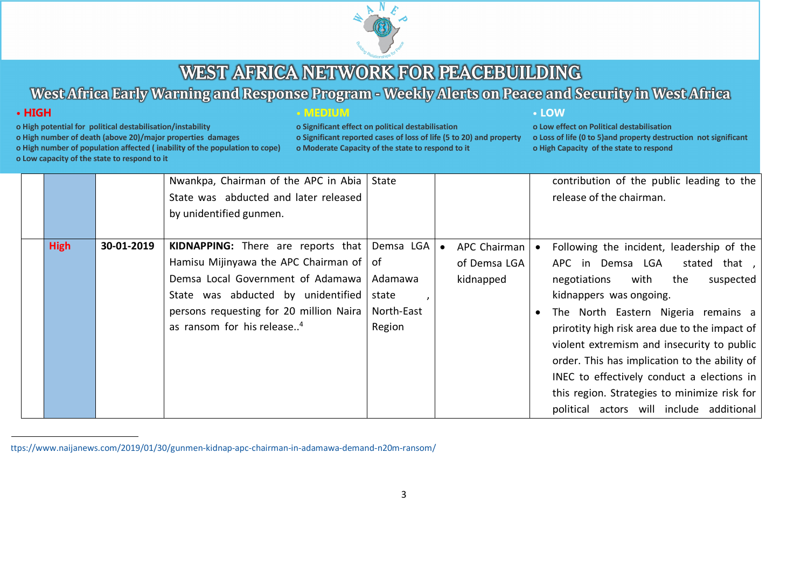

# West Africa Early Warning and Response Program - Weekly Alerts on Peace and Security in West Africa

## $\cdot$  HIGH

- o High potential for political destabilisation/instability
- o High number of death (above 20)/major properties damages

o High number of population affected (inability of the population to cope)

o Low capacity of the state to respond to it

**• MEDIUM** 

o Significant effect on political destabilisation o Significant reported cases of loss of life (5 to 20) and property o Moderate Capacity of the state to respond to it

• LOW

|  |             |            | Nwankpa, Chairman of the APC in Abia   State          |            |              | contribution of the public leading to the     |
|--|-------------|------------|-------------------------------------------------------|------------|--------------|-----------------------------------------------|
|  |             |            | State was abducted and later released                 |            |              | release of the chairman.                      |
|  |             |            | by unidentified gunmen.                               |            |              |                                               |
|  |             |            |                                                       |            |              |                                               |
|  | <b>High</b> | 30-01-2019 | <b>KIDNAPPING:</b> There are reports that   Demsa LGA |            | APC Chairman | Following the incident, leadership of the     |
|  |             |            | Hamisu Mijinyawa the APC Chairman of   of             |            | of Demsa LGA | APC in Demsa LGA<br>stated that,              |
|  |             |            | Demsa Local Government of Adamawa                     | Adamawa    | kidnapped    | with<br>negotiations<br>the<br>suspected      |
|  |             |            | State was abducted by unidentified                    | state      |              | kidnappers was ongoing.                       |
|  |             |            | persons requesting for 20 million Naira               | North-East |              | The North Eastern Nigeria remains a           |
|  |             |            | as ransom for his release <sup>4</sup>                | Region     |              | prirotity high risk area due to the impact of |
|  |             |            |                                                       |            |              | violent extremism and insecurity to public    |
|  |             |            |                                                       |            |              | order. This has implication to the ability of |
|  |             |            |                                                       |            |              | INEC to effectively conduct a elections in    |
|  |             |            |                                                       |            |              | this region. Strategies to minimize risk for  |
|  |             |            |                                                       |            |              | political actors will include additional      |

ttps://www.naijanews.com/2019/01/30/gunmen-kidnap-apc-chairman-in-adamawa-demand-n20m-ransom/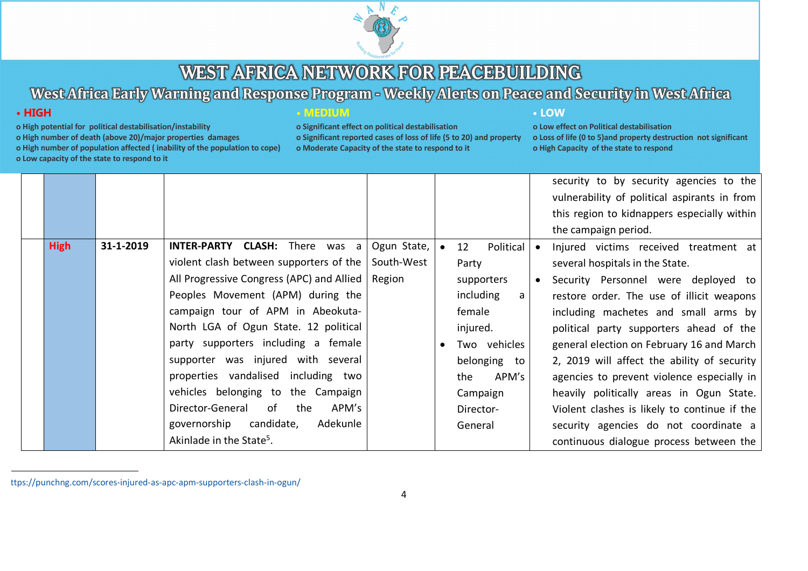

# West Africa Early Warning and Response Program - Weekly Alerts on Peace and Security in West Africa

## $\cdot$  HIGH

- o High potential for political destabilisation/instability
- o High number of death (above 20)/major properties damages
- o High number of population affected (inability of the population to cope)
- o Low capacity of the state to respond to it

### **• MEDIUM**

o Significant effect on political destabilisation o Significant reported cases of loss of life (5 to 20) and property o Moderate Capacity of the state to respond to it

#### • LOW

|  |             |           |                                                            |             |                 |           | security to by security agencies to the      |
|--|-------------|-----------|------------------------------------------------------------|-------------|-----------------|-----------|----------------------------------------------|
|  |             |           |                                                            |             |                 |           | vulnerability of political aspirants in from |
|  |             |           |                                                            |             |                 |           | this region to kidnappers especially within  |
|  |             |           |                                                            |             |                 |           | the campaign period.                         |
|  | <b>High</b> | 31-1-2019 | <b>INTER-PARTY CLASH:</b> There was a                      | Ogun State, | 12<br>Political |           | Injured victims received treatment at        |
|  |             |           | violent clash between supporters of the $\vert$ South-West |             | Party           |           | several hospitals in the State.              |
|  |             |           | All Progressive Congress (APC) and Allied                  | Region      | supporters      | $\bullet$ | Security Personnel were deployed to          |
|  |             |           | Peoples Movement (APM) during the                          |             | including<br>a  |           | restore order. The use of illicit weapons    |
|  |             |           | campaign tour of APM in Abeokuta-                          |             | female          |           | including machetes and small arms by         |
|  |             |           | North LGA of Ogun State. 12 political                      |             | injured.        |           | political party supporters ahead of the      |
|  |             |           | party supporters including a female                        |             | Two vehicles    |           | general election on February 16 and March    |
|  |             |           | supporter was injured with several                         |             | belonging to    |           | 2, 2019 will affect the ability of security  |
|  |             |           | properties vandalised including two                        |             | APM's<br>the    |           | agencies to prevent violence especially in   |
|  |             |           | vehicles belonging to the Campaign                         |             | Campaign        |           | heavily politically areas in Ogun State.     |
|  |             |           | Director-General of the<br>APM's                           |             | Director-       |           | Violent clashes is likely to continue if the |
|  |             |           | governorship candidate,<br>Adekunle                        |             | General         |           | security agencies do not coordinate a        |
|  |             |           | Akinlade in the State <sup>5</sup> .                       |             |                 |           | continuous dialogue process between the      |

ttps://punchng.com/scores-injured-as-apc-apm-supporters-clash-in-ogun/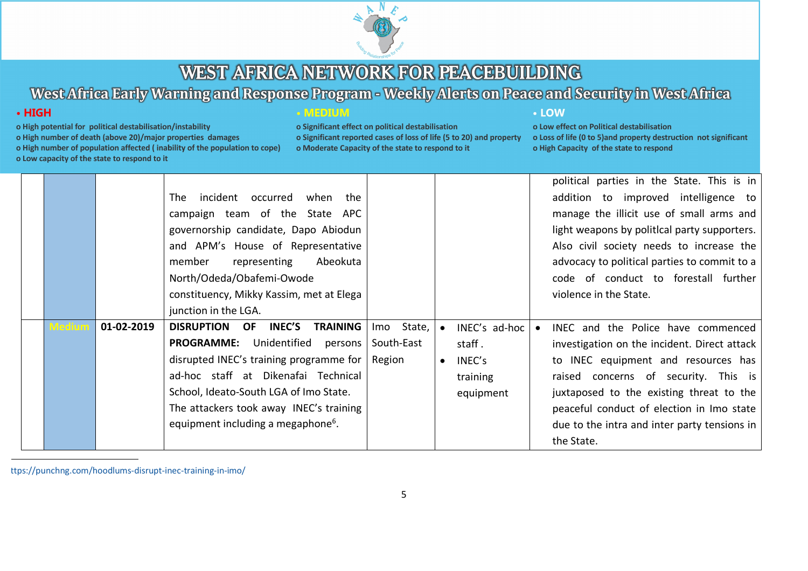

# West Africa Early Warning and Response Program - Weekly Alerts on Peace and Security in West Africa

## $\cdot$  HIGH

- o High potential for political destabilisation/instability
- o High number of death (above 20)/major properties damages

o High number of population affected (inability of the population to cope)

o Low capacity of the state to respond to it

### **• MEDIUM**

o Significant effect on political destabilisation o Significant reported cases of loss of life (5 to 20) and property o Moderate Capacity of the state to respond to it

### • LOW

o Low effect on Political destabilisation o Loss of life (0 to 5) and property destruction not significant o High Capacity of the state to respond

|  |            |                                                          |               |               | political parties in the State. This is in   |
|--|------------|----------------------------------------------------------|---------------|---------------|----------------------------------------------|
|  |            | incident<br>when the<br>occurred<br>The                  |               |               | addition to improved intelligence to         |
|  |            | campaign team of the State APC                           |               |               | manage the illicit use of small arms and     |
|  |            | governorship candidate, Dapo Abiodun                     |               |               | light weapons by political party supporters. |
|  |            | and APM's House of Representative                        |               |               | Also civil society needs to increase the     |
|  |            | Abeokuta<br>representing<br>member                       |               |               | advocacy to political parties to commit to a |
|  |            | North/Odeda/Obafemi-Owode                                |               |               | code of conduct to forestall further         |
|  |            | constituency, Mikky Kassim, met at Elega                 |               |               | violence in the State.                       |
|  |            | junction in the LGA.                                     |               |               |                                              |
|  | 01-02-2019 | <b>INEC'S</b><br><b>DISRUPTION OF</b><br><b>TRAINING</b> | State,<br>Imo | INEC's ad-hoc | INEC and the Police have commenced           |
|  |            | <b>PROGRAMME:</b><br>Unidentified persons                | South-East    | staff.        | investigation on the incident. Direct attack |
|  |            | disrupted INEC's training programme for                  | Region        | INEC's        | to INEC equipment and resources has          |
|  |            | ad-hoc staff at Dikenafai Technical                      |               | training      | raised concerns of security. This is         |
|  |            | School, Ideato-South LGA of Imo State.                   |               | equipment     | juxtaposed to the existing threat to the     |
|  |            | The attackers took away INEC's training                  |               |               | peaceful conduct of election in Imo state    |
|  |            | equipment including a megaphone <sup>6</sup> .           |               |               | due to the intra and inter party tensions in |
|  |            |                                                          |               |               | the State.                                   |

ttps://punchng.com/hoodlums-disrupt-inec-training-in-imo/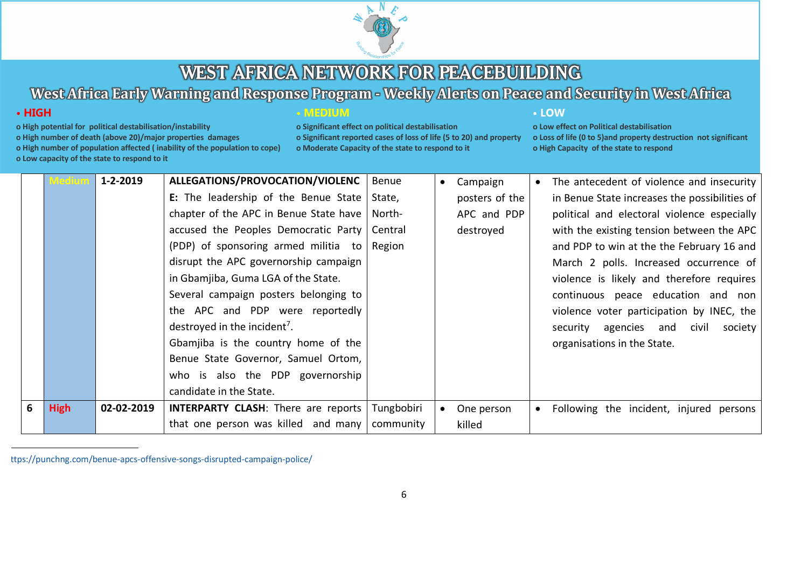

# West Africa Early Warning and Response Program - Weekly Alerts on Peace and Security in West Africa

## $\cdot$  HIGH

- o High potential for political destabilisation/instability
- o High number of death (above 20)/major properties damages

o High number of population affected (inability of the population to cope)

o Low capacity of the state to respond to it

### **• MEDIUM**

o Significant effect on political destabilisation o Significant reported cases of loss of life (5 to 20) and property o Moderate Capacity of the state to respond to it

### • LOW

o Low effect on Political destabilisation o Loss of life (0 to 5) and property destruction not significant o High Capacity of the state to respond

|   | flediur     | $1 - 2 - 2019$ | ALLEGATIONS/PROVOCATION/VIOLENC            | Benue      | Campaign       | $\bullet$ | The antecedent of violence and insecurity     |
|---|-------------|----------------|--------------------------------------------|------------|----------------|-----------|-----------------------------------------------|
|   |             |                | E: The leadership of the Benue State       | State,     | posters of the |           | in Benue State increases the possibilities of |
|   |             |                | chapter of the APC in Benue State have     | North-     | APC and PDP    |           | political and electoral violence especially   |
|   |             |                | accused the Peoples Democratic Party       | Central    | destroyed      |           | with the existing tension between the APC     |
|   |             |                | (PDP) of sponsoring armed militia to       | Region     |                |           | and PDP to win at the the February 16 and     |
|   |             |                | disrupt the APC governorship campaign      |            |                |           | March 2 polls. Increased occurrence of        |
|   |             |                | in Gbamjiba, Guma LGA of the State.        |            |                |           | violence is likely and therefore requires     |
|   |             |                | Several campaign posters belonging to      |            |                |           | continuous peace education and non            |
|   |             |                | the APC and PDP were reportedly            |            |                |           | violence voter participation by INEC, the     |
|   |             |                | destroyed in the incident <sup>7</sup> .   |            |                |           | security agencies and civil society           |
|   |             |                | Gbamjiba is the country home of the        |            |                |           | organisations in the State.                   |
|   |             |                | Benue State Governor, Samuel Ortom,        |            |                |           |                                               |
|   |             |                | who is also the PDP governorship           |            |                |           |                                               |
|   |             |                | candidate in the State.                    |            |                |           |                                               |
| 6 | <b>High</b> | 02-02-2019     | <b>INTERPARTY CLASH:</b> There are reports | Tungbobiri | One person     | $\bullet$ | Following the incident, injured persons       |
|   |             |                | that one person was killed and many        | community  | killed         |           |                                               |

ttps://punchng.com/benue-apcs-offensive-songs-disrupted-campaign-police/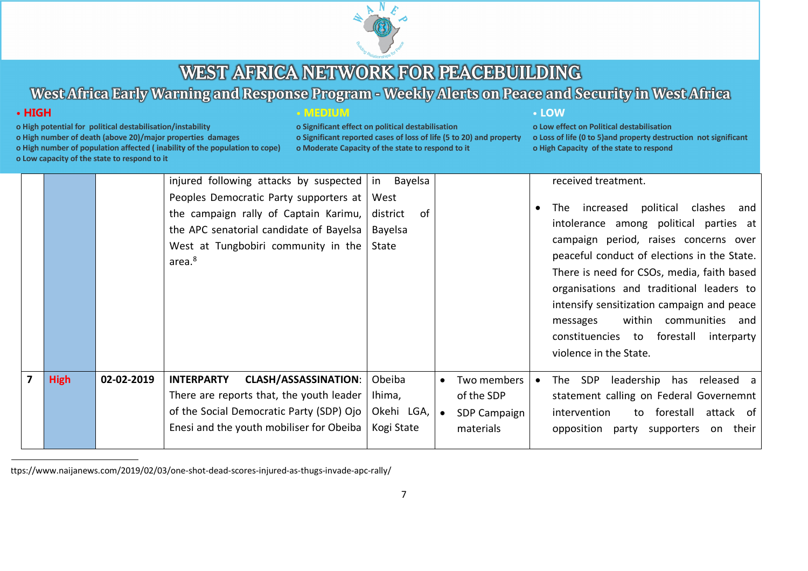

# West Africa Early Warning and Response Program - Weekly Alerts on Peace and Security in West Africa

## $\cdot$  HIGH

- o High potential for political destabilisation/instability
- o High number of death (above 20)/major properties damages

o High number of population affected (inability of the population to cope)

o Low capacity of the state to respond to it

### **• MEDIUM**

o Significant effect on political destabilisation o Significant reported cases of loss of life (5 to 20) and property o Moderate Capacity of the state to respond to it

### • LOW

|   |             |            | injured following attacks by suspected   in Bayelsa                                                                                                                                           |                                              |                                                                     |           | received treatment.                                                                                                                                                                                                                                                                                                                                                                                                        |
|---|-------------|------------|-----------------------------------------------------------------------------------------------------------------------------------------------------------------------------------------------|----------------------------------------------|---------------------------------------------------------------------|-----------|----------------------------------------------------------------------------------------------------------------------------------------------------------------------------------------------------------------------------------------------------------------------------------------------------------------------------------------------------------------------------------------------------------------------------|
|   |             |            | Peoples Democratic Party supporters at<br>the campaign rally of Captain Karimu,<br>the APC senatorial candidate of Bayelsa<br>West at Tungbobiri community in the State<br>area. <sup>8</sup> | West<br>0f<br>district<br>Bayelsa            |                                                                     | $\bullet$ | The increased political clashes and<br>intolerance among political parties at<br>campaign period, raises concerns over<br>peaceful conduct of elections in the State.<br>There is need for CSOs, media, faith based<br>organisations and traditional leaders to<br>intensify sensitization campaign and peace<br>within communities and<br>messages<br>constituencies to forestall<br>interparty<br>violence in the State. |
| 7 | <b>High</b> | 02-02-2019 | <b>INTERPARTY</b><br><b>CLASH/ASSASSINATION:</b><br>There are reports that, the youth leader<br>of the Social Democratic Party (SDP) Ojo<br>Enesi and the youth mobiliser for Obeiba          | Obeiba<br>Ihima,<br>Okehi LGA,<br>Kogi State | Two members<br>$\bullet$<br>of the SDP<br>SDP Campaign<br>materials | $\bullet$ | SDP<br>leadership has released a<br>The<br>statement calling on Federal Governemnt<br>to forestall attack of<br>intervention<br>opposition party supporters on their                                                                                                                                                                                                                                                       |

ttps://www.naijanews.com/2019/02/03/one-shot-dead-scores-injured-as-thugs-invade-apc-rally/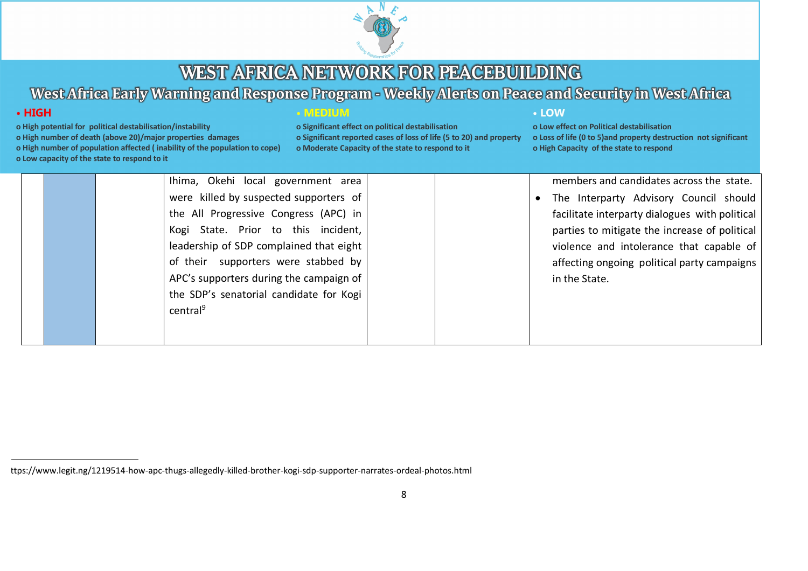

## West Africa Early Warning and Response Program - Weekly Alerts on Peace and Security in West Africa

## $\cdot$  HIGH

- o High potential for political destabilisation/instability
- o High number of death (above 20)/major properties damages
- o High number of population affected (inability of the population to cope)
- o Low capacity of the state to respond to it

#### **• MEDIUM**

o Significant effect on political destabilisation o Significant reported cases of loss of life (5 to 20) and property o Moderate Capacity of the state to respond to it

### • LOW

o Low effect on Political destabilisation o Loss of life (0 to 5) and property destruction not significant o High Capacity of the state to respond

members and candidates across the state. Ihima, Okehi local government area were killed by suspected supporters of The Interparty Advisory Council should  $\bullet$ the All Progressive Congress (APC) in facilitate interparty dialogues with political Kogi State. Prior to this incident, parties to mitigate the increase of political leadership of SDP complained that eight violence and intolerance that capable of of their supporters were stabbed by affecting ongoing political party campaigns APC's supporters during the campaign of in the State. the SDP's senatorial candidate for Kogi central<sup>9</sup>

ttps://www.legit.ng/1219514-how-apc-thugs-allegedly-killed-brother-kogi-sdp-supporter-narrates-ordeal-photos.html